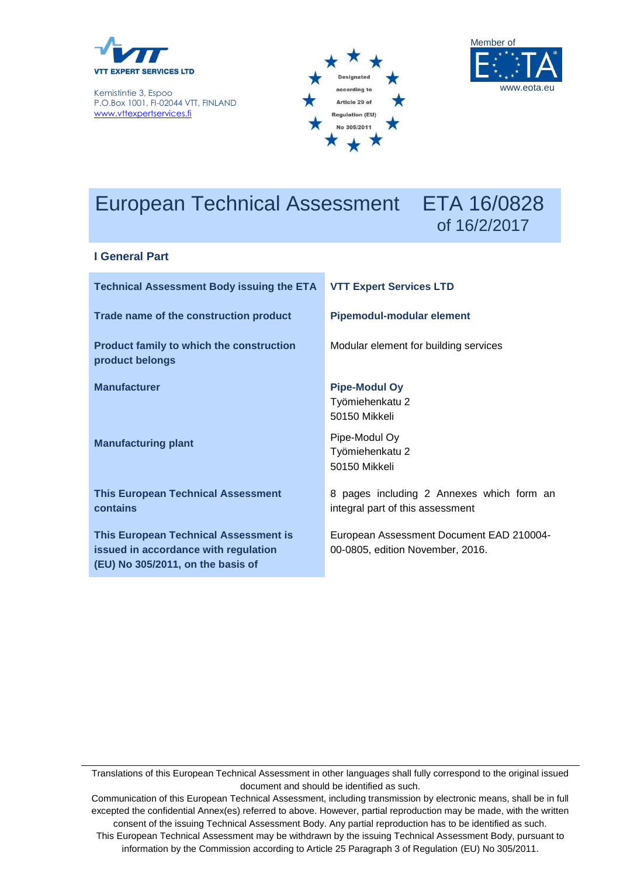

Kemistintie 3, Espoo P.O.Box 1001, FI-02044 VTT, FINLAND [www.vttexpertservices.fi](file:///C:/DATA/A%20Talot%20yleis/keskeiset%20dokut/www.vttexpertservices.fi)





# European Technical Assessment ETA 16/0828

# of 16/2/2017

#### **I General Part**

| <b>Technical Assessment Body issuing the ETA</b>                                                                          | <b>VTT Expert Services LTD</b>                                                |  |  |
|---------------------------------------------------------------------------------------------------------------------------|-------------------------------------------------------------------------------|--|--|
| Trade name of the construction product                                                                                    | <b>Pipemodul-modular element</b>                                              |  |  |
| <b>Product family to which the construction</b><br>product belongs                                                        | Modular element for building services                                         |  |  |
| <b>Manufacturer</b>                                                                                                       | <b>Pipe-Modul Oy</b><br>Työmiehenkatu 2<br>50150 Mikkeli                      |  |  |
| <b>Manufacturing plant</b>                                                                                                | Pipe-Modul Oy<br>Työmiehenkatu 2<br>50150 Mikkeli                             |  |  |
| <b>This European Technical Assessment</b><br>contains                                                                     | 8 pages including 2 Annexes which form an<br>integral part of this assessment |  |  |
| <b>This European Technical Assessment is</b><br>issued in accordance with regulation<br>(EU) No 305/2011, on the basis of | European Assessment Document EAD 210004-<br>00-0805, edition November, 2016.  |  |  |

Translations of this European Technical Assessment in other languages shall fully correspond to the original issued document and should be identified as such.

Communication of this European Technical Assessment, including transmission by electronic means, shall be in full excepted the confidential Annex(es) referred to above. However, partial reproduction may be made, with the written consent of the issuing Technical Assessment Body. Any partial reproduction has to be identified as such.

This European Technical Assessment may be withdrawn by the issuing Technical Assessment Body, pursuant to information by the Commission according to Article 25 Paragraph 3 of Regulation (EU) No 305/2011.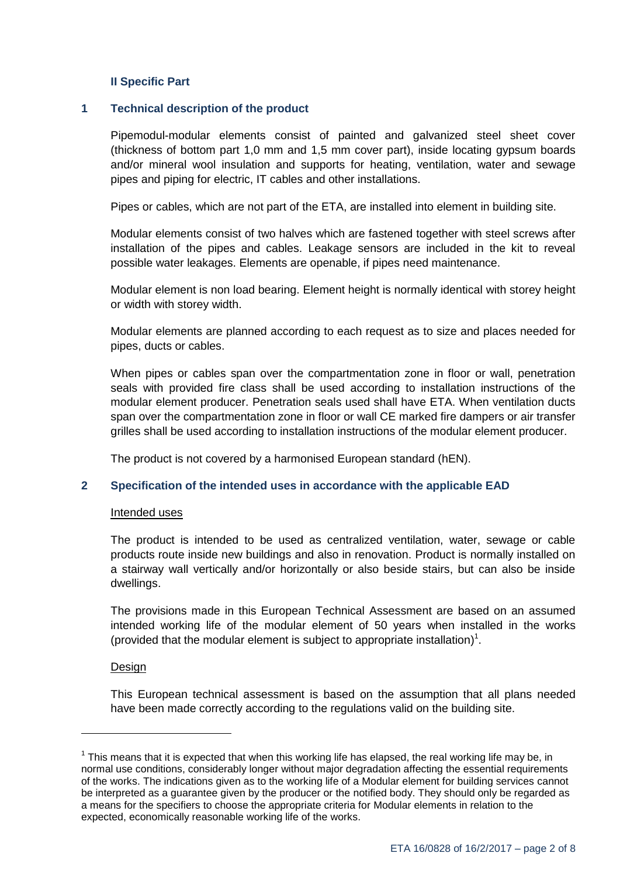#### **II Specific Part**

#### **1 Technical description of the product**

Pipemodul-modular elements consist of painted and galvanized steel sheet cover (thickness of bottom part 1,0 mm and 1,5 mm cover part), inside locating gypsum boards and/or mineral wool insulation and supports for heating, ventilation, water and sewage pipes and piping for electric, IT cables and other installations.

Pipes or cables, which are not part of the ETA, are installed into element in building site.

Modular elements consist of two halves which are fastened together with steel screws after installation of the pipes and cables. Leakage sensors are included in the kit to reveal possible water leakages. Elements are openable, if pipes need maintenance.

Modular element is non load bearing. Element height is normally identical with storey height or width with storey width.

Modular elements are planned according to each request as to size and places needed for pipes, ducts or cables.

When pipes or cables span over the compartmentation zone in floor or wall, penetration seals with provided fire class shall be used according to installation instructions of the modular element producer. Penetration seals used shall have ETA. When ventilation ducts span over the compartmentation zone in floor or wall CE marked fire dampers or air transfer grilles shall be used according to installation instructions of the modular element producer.

The product is not covered by a harmonised European standard (hEN).

#### **2 Specification of the intended uses in accordance with the applicable EAD**

#### Intended uses

The product is intended to be used as centralized ventilation, water, sewage or cable products route inside new buildings and also in renovation. Product is normally installed on a stairway wall vertically and/or horizontally or also beside stairs, but can also be inside dwellings.

The provisions made in this European Technical Assessment are based on an assumed intended working life of the modular element of 50 years when installed in the works (provided that the modular element is subject to appropriate installation)<sup>1</sup>.

#### Design

-

This European technical assessment is based on the assumption that all plans needed have been made correctly according to the regulations valid on the building site.

 $1$  This means that it is expected that when this working life has elapsed, the real working life may be, in normal use conditions, considerably longer without major degradation affecting the essential requirements of the works. The indications given as to the working life of a Modular element for building services cannot be interpreted as a guarantee given by the producer or the notified body. They should only be regarded as a means for the specifiers to choose the appropriate criteria for Modular elements in relation to the expected, economically reasonable working life of the works.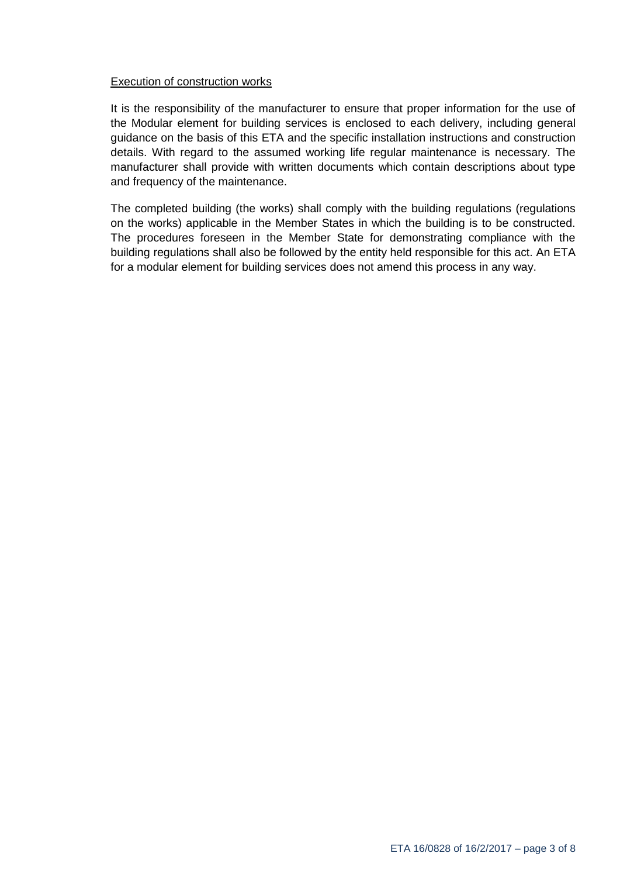### Execution of construction works

It is the responsibility of the manufacturer to ensure that proper information for the use of the Modular element for building services is enclosed to each delivery, including general guidance on the basis of this ETA and the specific installation instructions and construction details. With regard to the assumed working life regular maintenance is necessary. The manufacturer shall provide with written documents which contain descriptions about type and frequency of the maintenance.

The completed building (the works) shall comply with the building regulations (regulations on the works) applicable in the Member States in which the building is to be constructed. The procedures foreseen in the Member State for demonstrating compliance with the building regulations shall also be followed by the entity held responsible for this act. An ETA for a modular element for building services does not amend this process in any way.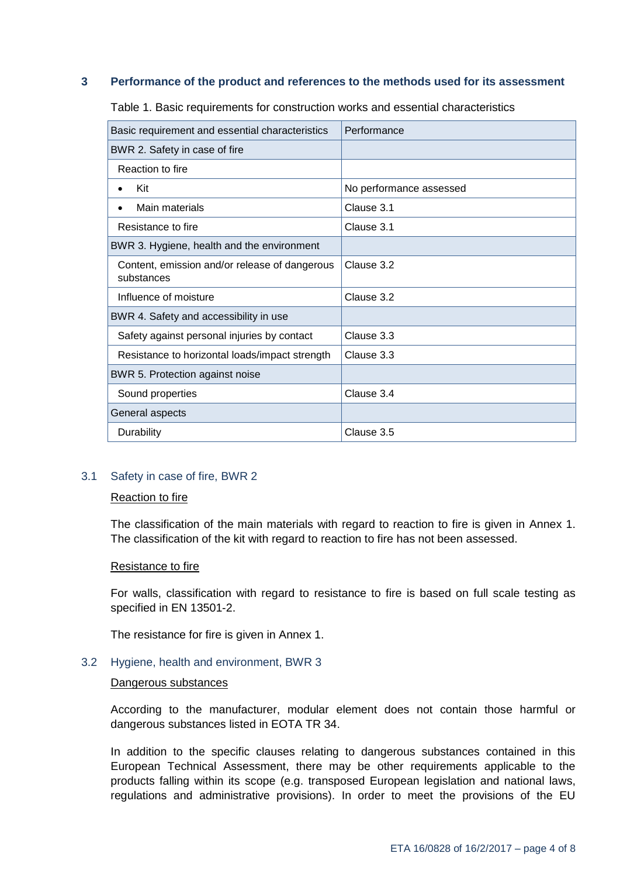#### **3 Performance of the product and references to the methods used for its assessment**

| Basic requirement and essential characteristics             | Performance             |
|-------------------------------------------------------------|-------------------------|
| BWR 2. Safety in case of fire                               |                         |
| Reaction to fire                                            |                         |
| Kit                                                         | No performance assessed |
| Main materials<br>$\bullet$                                 | Clause 3.1              |
| Resistance to fire                                          | Clause 3.1              |
| BWR 3. Hygiene, health and the environment                  |                         |
| Content, emission and/or release of dangerous<br>substances | Clause 3.2              |
| Influence of moisture                                       | Clause 3.2              |
| BWR 4. Safety and accessibility in use                      |                         |
| Safety against personal injuries by contact                 | Clause 3.3              |
| Resistance to horizontal loads/impact strength              | Clause 3.3              |
| BWR 5. Protection against noise                             |                         |
| Sound properties                                            | Clause 3.4              |
| General aspects                                             |                         |
| Durability                                                  | Clause 3.5              |

Table 1. Basic requirements for construction works and essential characteristics

#### 3.1 Safety in case of fire, BWR 2

#### Reaction to fire

The classification of the main materials with regard to reaction to fire is given in Annex 1. The classification of the kit with regard to reaction to fire has not been assessed.

#### Resistance to fire

For walls, classification with regard to resistance to fire is based on full scale testing as specified in EN 13501-2.

The resistance for fire is given in Annex 1.

#### 3.2 Hygiene, health and environment, BWR 3

#### Dangerous substances

According to the manufacturer, modular element does not contain those harmful or dangerous substances listed in EOTA TR 34.

In addition to the specific clauses relating to dangerous substances contained in this European Technical Assessment, there may be other requirements applicable to the products falling within its scope (e.g. transposed European legislation and national laws, regulations and administrative provisions). In order to meet the provisions of the EU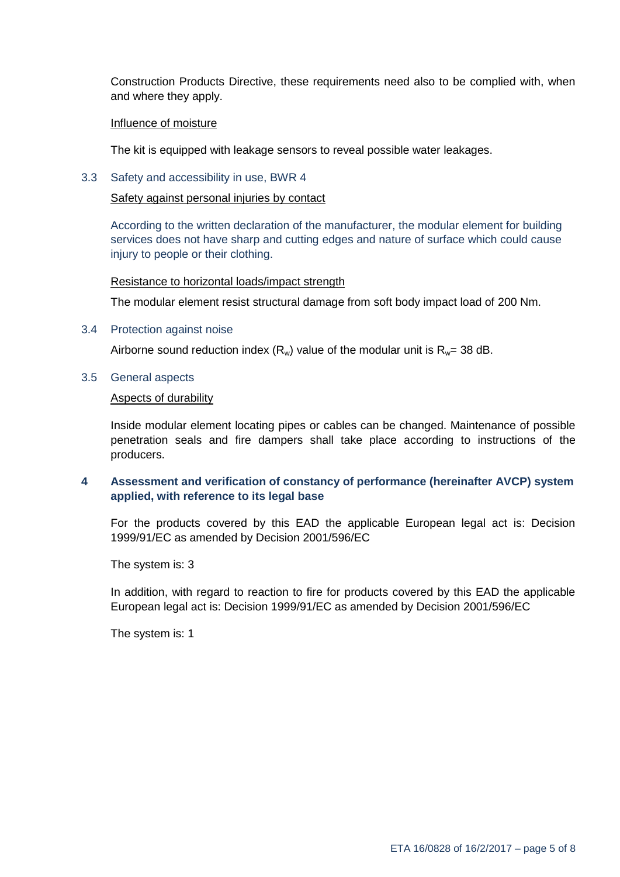Construction Products Directive, these requirements need also to be complied with, when and where they apply.

#### Influence of moisture

The kit is equipped with leakage sensors to reveal possible water leakages.

3.3 Safety and accessibility in use, BWR 4

Safety against personal injuries by contact

According to the written declaration of the manufacturer, the modular element for building services does not have sharp and cutting edges and nature of surface which could cause injury to people or their clothing.

#### Resistance to horizontal loads/impact strength

The modular element resist structural damage from soft body impact load of 200 Nm.

3.4 Protection against noise

Airborne sound reduction index  $(R_w)$  value of the modular unit is  $R_w = 38$  dB.

3.5 General aspects

#### Aspects of durability

Inside modular element locating pipes or cables can be changed. Maintenance of possible penetration seals and fire dampers shall take place according to instructions of the producers.

# **4 Assessment and verification of constancy of performance (hereinafter AVCP) system applied, with reference to its legal base**

For the products covered by this EAD the applicable European legal act is: Decision 1999/91/EC as amended by Decision 2001/596/EC

The system is: 3

In addition, with regard to reaction to fire for products covered by this EAD the applicable European legal act is: Decision 1999/91/EC as amended by Decision 2001/596/EC

The system is: 1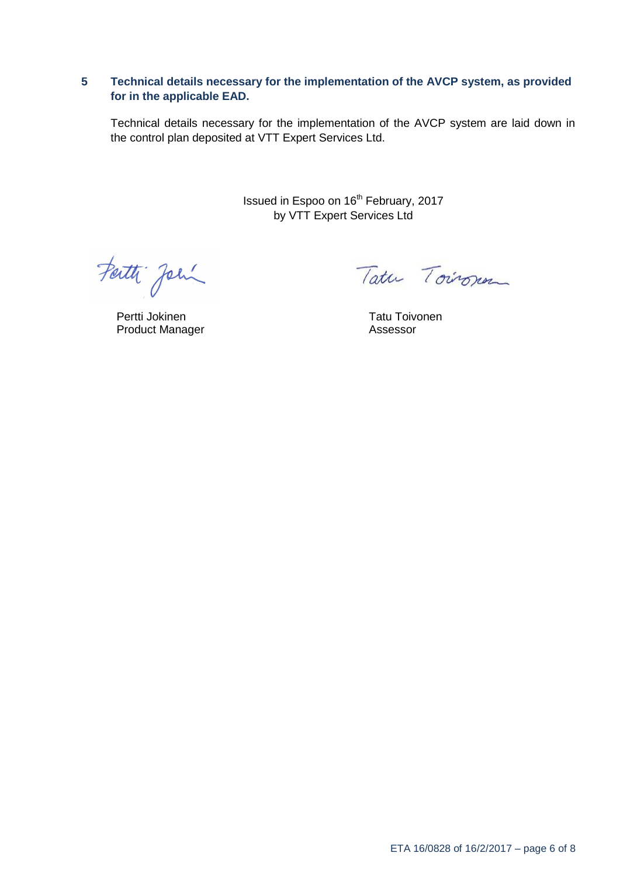# **5 Technical details necessary for the implementation of the AVCP system, as provided for in the applicable EAD.**

Technical details necessary for the implementation of the AVCP system are laid down in the control plan deposited at VTT Expert Services Ltd.

> Issued in Espoo on 16<sup>th</sup> February, 2017 by VTT Expert Services Ltd

Farth John

Pertti Jokinen Product Manager

Tatu Toironen

Tatu Toivonen Assessor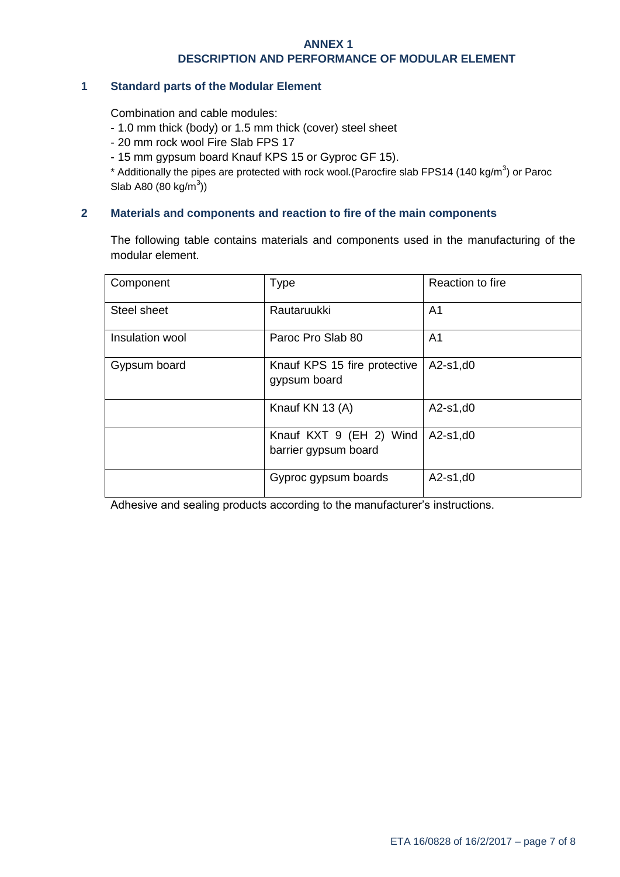#### **ANNEX 1**

#### **DESCRIPTION AND PERFORMANCE OF MODULAR ELEMENT**

#### **1 Standard parts of the Modular Element**

Combination and cable modules:

- 1.0 mm thick (body) or 1.5 mm thick (cover) steel sheet
- 20 mm rock wool Fire Slab FPS 17
- 15 mm gypsum board Knauf KPS 15 or Gyproc GF 15).

\* Additionally the pipes are protected with rock wool. (Parocfire slab FPS14 (140 kg/m<sup>3</sup>) or Paroc Slab A80 (80 kg/m $^{3}$ ))

#### **2 Materials and components and reaction to fire of the main components**

The following table contains materials and components used in the manufacturing of the modular element.

| Component       | <b>Type</b>                                     | Reaction to fire |
|-----------------|-------------------------------------------------|------------------|
| Steel sheet     | Rautaruukki                                     | A <sub>1</sub>   |
| Insulation wool | Paroc Pro Slab 80                               | A <sub>1</sub>   |
| Gypsum board    | Knauf KPS 15 fire protective<br>gypsum board    | $A2-s1, d0$      |
|                 | Knauf KN 13 (A)                                 | $A2-s1, d0$      |
|                 | Knauf KXT 9 (EH 2) Wind<br>barrier gypsum board | $A2-s1, d0$      |
|                 | Gyproc gypsum boards                            | $A2-s1, d0$      |

Adhesive and sealing products according to the manufacturer's instructions.